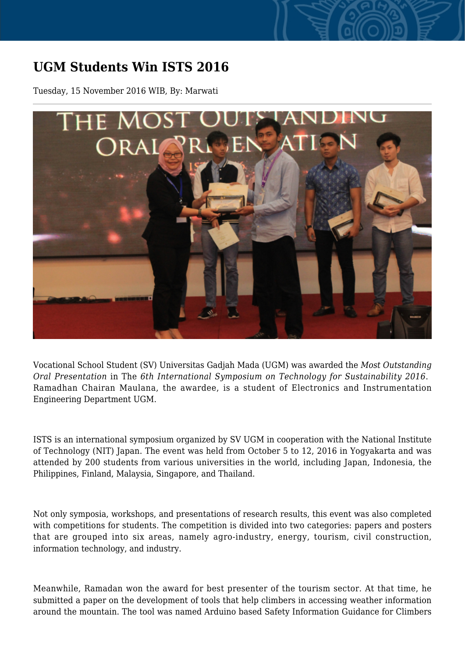## **UGM Students Win ISTS 2016**

Tuesday, 15 November 2016 WIB, By: Marwati



Vocational School Student (SV) Universitas Gadjah Mada (UGM) was awarded the *Most Outstanding Oral Presentation* in The *6th International Symposium on Technology for Sustainability 2016*. Ramadhan Chairan Maulana, the awardee, is a student of Electronics and Instrumentation Engineering Department UGM.

ISTS is an international symposium organized by SV UGM in cooperation with the National Institute of Technology (NIT) Japan. The event was held from October 5 to 12, 2016 in Yogyakarta and was attended by 200 students from various universities in the world, including Japan, Indonesia, the Philippines, Finland, Malaysia, Singapore, and Thailand.

Not only symposia, workshops, and presentations of research results, this event was also completed with competitions for students. The competition is divided into two categories: papers and posters that are grouped into six areas, namely agro-industry, energy, tourism, civil construction, information technology, and industry.

Meanwhile, Ramadan won the award for best presenter of the tourism sector. At that time, he submitted a paper on the development of tools that help climbers in accessing weather information around the mountain. The tool was named Arduino based Safety Information Guidance for Climbers